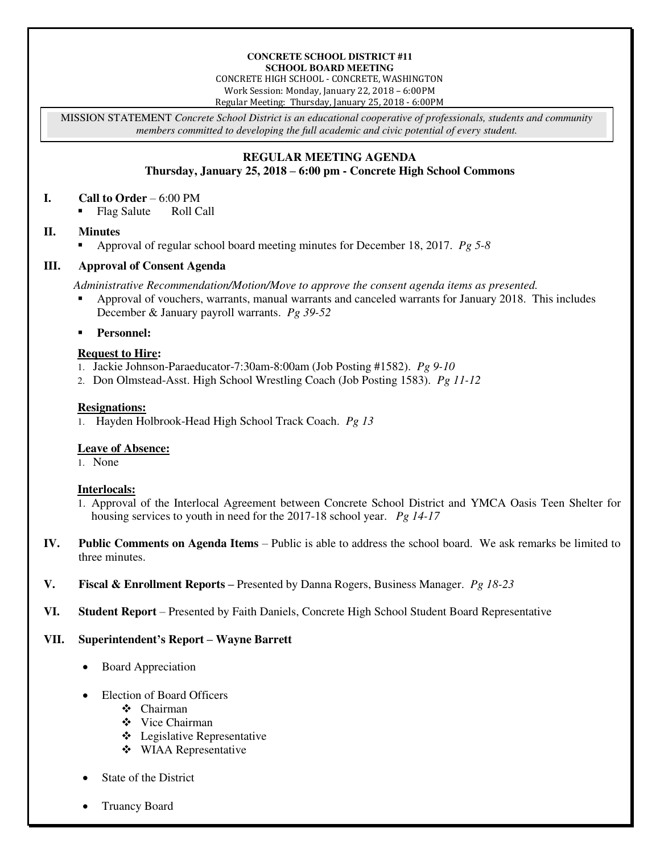#### **CONCRETE SCHOOL DISTRICT #11 SCHOOL BOARD MEETING**

CONCRETE HIGH SCHOOL - CONCRETE, WASHINGTON Work Session: Monday, January 22, 2018 – 6:00PM Regular Meeting: Thursday, January 25, 2018 - 6:00PM

MISSION STATEMENT *Concrete School District is an educational cooperative of professionals, students and community members committed to developing the full academic and civic potential of every student.* 

# **REGULAR MEETING AGENDA**

## **Thursday, January 25, 2018 – 6:00 pm - Concrete High School Commons**

#### **I. Call to Order** – 6:00 PM

• Flag Salute Roll Call

### **II. Minutes**

Approval of regular school board meeting minutes for December 18, 2017. *Pg 5-8* 

### **III. Approval of Consent Agenda**

*Administrative Recommendation/Motion/Move to approve the consent agenda items as presented.* 

 Approval of vouchers, warrants, manual warrants and canceled warrants for January 2018. This includes December & January payroll warrants. *Pg 39-52* 

**Personnel:** 

## **Request to Hire:**

- 1. Jackie Johnson-Paraeducator-7:30am-8:00am (Job Posting #1582). *Pg 9-10*
- 2. Don Olmstead-Asst. High School Wrestling Coach (Job Posting 1583). *Pg 11-12*

#### **Resignations:**

1. Hayden Holbrook-Head High School Track Coach. *Pg 13* 

### **Leave of Absence:**

1. None

### **Interlocals:**

- 1. Approval of the Interlocal Agreement between Concrete School District and YMCA Oasis Teen Shelter for housing services to youth in need for the 2017-18 school year. *Pg 14-17*
- **IV. Public Comments on Agenda Items** Public is able to address the school board. We ask remarks be limited to three minutes.
- **V. Fiscal & Enrollment Reports –** Presented by Danna Rogers, Business Manager. *Pg 18-23*
- **VI. Student Report** Presented by Faith Daniels, Concrete High School Student Board Representative

### **VII. Superintendent's Report – Wayne Barrett**

- Board Appreciation
- Election of Board Officers
	- Chairman
	- ◆ Vice Chairman
	- Legislative Representative
	- WIAA Representative
- State of the District
- Truancy Board